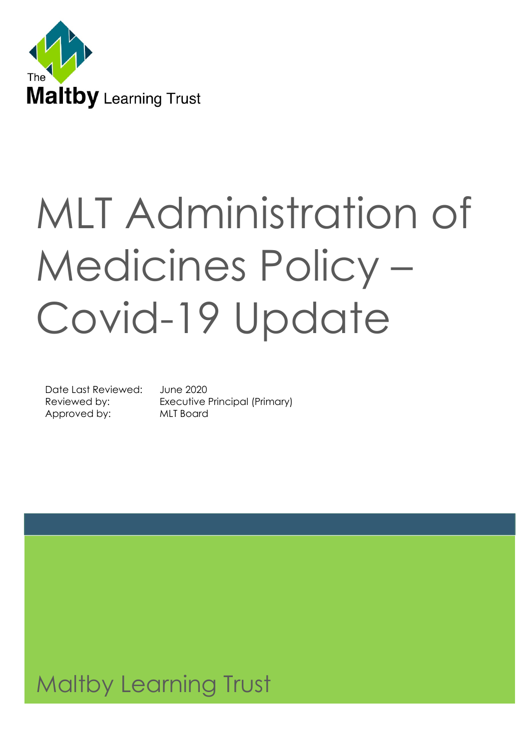

# MLT Administration of Medicines Policy – Covid-19 Update

Date Last Reviewed: June 2020 Approved by: MLT Board

Reviewed by: Executive Principal (Primary)

# 1<br>1 Maltby Learning Trust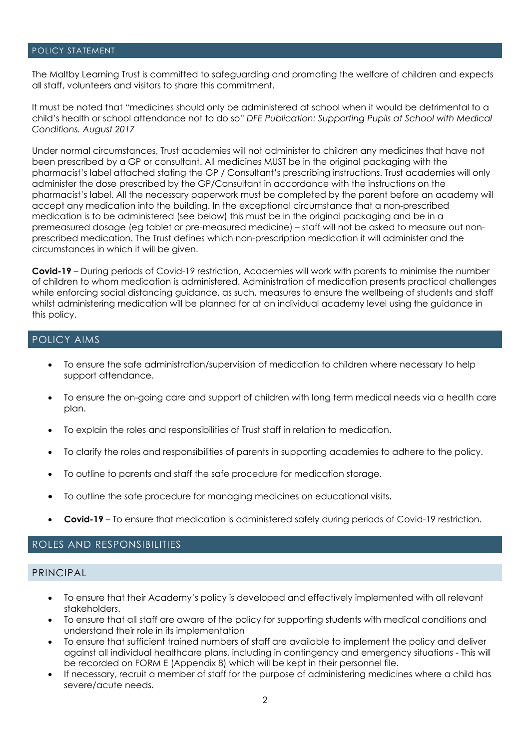#### POLICY STATEMENT

The Maltby Learning Trust is committed to safeguarding and promoting the welfare of children and expects all staff, volunteers and visitors to share this commitment.

It must be noted that "medicines should only be administered at school when it would be detrimental to a child's health or school attendance not to do so" *DFE Publication: Supporting Pupils at School with Medical Conditions. August 2017*

Under normal circumstances, Trust academies will not administer to children any medicines that have not been prescribed by a GP or consultant. All medicines MUST be in the original packaging with the pharmacist's label attached stating the GP / Consultant's prescribing instructions. Trust academies will only administer the dose prescribed by the GP/Consultant in accordance with the instructions on the pharmacist's label. All the necessary paperwork must be completed by the parent before an academy will accept any medication into the building. In the exceptional circumstance that a non-prescribed medication is to be administered (see below) this must be in the original packaging and be in a premeasured dosage (eg tablet or pre-measured medicine) – staff will not be asked to measure out nonprescribed medication. The Trust defines which non-prescription medication it will administer and the circumstances in which it will be given.

**Covid-19** – During periods of Covid-19 restriction, Academies will work with parents to minimise the number of children to whom medication is administered. Administration of medication presents practical challenges while enforcing social distancing guidance, as such, measures to ensure the wellbeing of students and staff whilst administering medication will be planned for at an individual academy level using the guidance in this policy.

#### POLICY AIMS

- To ensure the safe administration/supervision of medication to children where necessary to help support attendance.
- To ensure the on-going care and support of children with long term medical needs via a health care plan.
- To explain the roles and responsibilities of Trust staff in relation to medication.
- To clarify the roles and responsibilities of parents in supporting academies to adhere to the policy.
- To outline to parents and staff the safe procedure for medication storage.
- To outline the safe procedure for managing medicines on educational visits.
- **Covid-19** To ensure that medication is administered safely during periods of Covid-19 restriction.

#### ROLES AND RESPONSIBILITIES

#### PRINCIPAL

- To ensure that their Academy's policy is developed and effectively implemented with all relevant stakeholders.
- To ensure that all staff are aware of the policy for supporting students with medical conditions and understand their role in its implementation
- To ensure that sufficient trained numbers of staff are available to implement the policy and deliver against all individual healthcare plans, including in contingency and emergency situations - This will be recorded on FORM E (Appendix 8) which will be kept in their personnel file.
- If necessary, recruit a member of staff for the purpose of administering medicines where a child has severe/acute needs.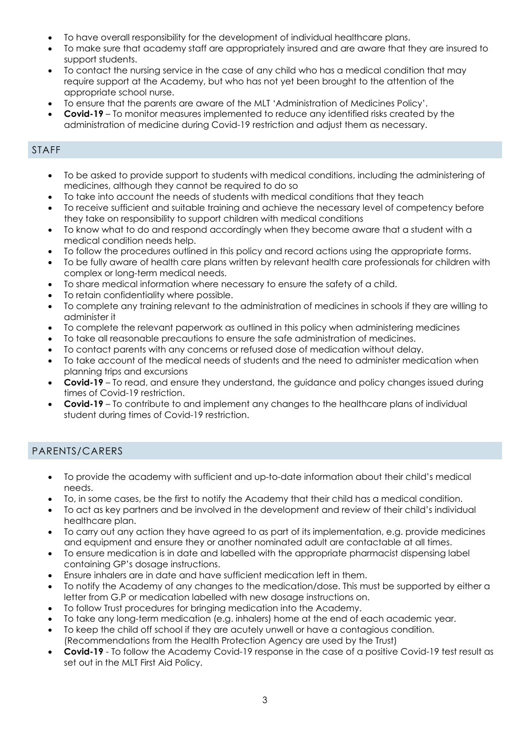- To have overall responsibility for the development of individual healthcare plans.
- To make sure that academy staff are appropriately insured and are aware that they are insured to support students.
- To contact the nursing service in the case of any child who has a medical condition that may require support at the Academy, but who has not yet been brought to the attention of the appropriate school nurse.
- To ensure that the parents are aware of the MLT 'Administration of Medicines Policy'.
- **Covid-19** To monitor measures implemented to reduce any identified risks created by the administration of medicine during Covid-19 restriction and adjust them as necessary.

## STAFF

- To be asked to provide support to students with medical conditions, including the administering of medicines, although they cannot be required to do so
- To take into account the needs of students with medical conditions that they teach
- To receive sufficient and suitable training and achieve the necessary level of competency before they take on responsibility to support children with medical conditions
- To know what to do and respond accordingly when they become aware that a student with a medical condition needs help.
- To follow the procedures outlined in this policy and record actions using the appropriate forms.
- To be fully aware of health care plans written by relevant health care professionals for children with complex or long-term medical needs.
- To share medical information where necessary to ensure the safety of a child.
- To retain confidentiality where possible.
- To complete any training relevant to the administration of medicines in schools if they are willing to administer it
- To complete the relevant paperwork as outlined in this policy when administering medicines
- To take all reasonable precautions to ensure the safe administration of medicines.
- To contact parents with any concerns or refused dose of medication without delay.
- To take account of the medical needs of students and the need to administer medication when planning trips and excursions
- **Covid-19** To read, and ensure they understand, the guidance and policy changes issued during times of Covid-19 restriction.
- **Covid-19** To contribute to and implement any changes to the healthcare plans of individual student during times of Covid-19 restriction.

## PARENTS/CARERS

- To provide the academy with sufficient and up-to-date information about their child's medical needs.
- To, in some cases, be the first to notify the Academy that their child has a medical condition.
- To act as key partners and be involved in the development and review of their child's individual healthcare plan.
- To carry out any action they have agreed to as part of its implementation, e.g. provide medicines and equipment and ensure they or another nominated adult are contactable at all times.
- To ensure medication is in date and labelled with the appropriate pharmacist dispensing label containing GP's dosage instructions.
- Ensure inhalers are in date and have sufficient medication left in them.
- To notify the Academy of any changes to the medication/dose. This must be supported by either a letter from G.P or medication labelled with new dosage instructions on.
- To follow Trust procedures for bringing medication into the Academy.
- To take any long-term medication (e.g. inhalers) home at the end of each academic year.
- To keep the child off school if they are acutely unwell or have a contagious condition. (Recommendations from the Health Protection Agency are used by the Trust)
- **Covid-19** To follow the Academy Covid-19 response in the case of a positive Covid-19 test result as set out in the MLT First Aid Policy.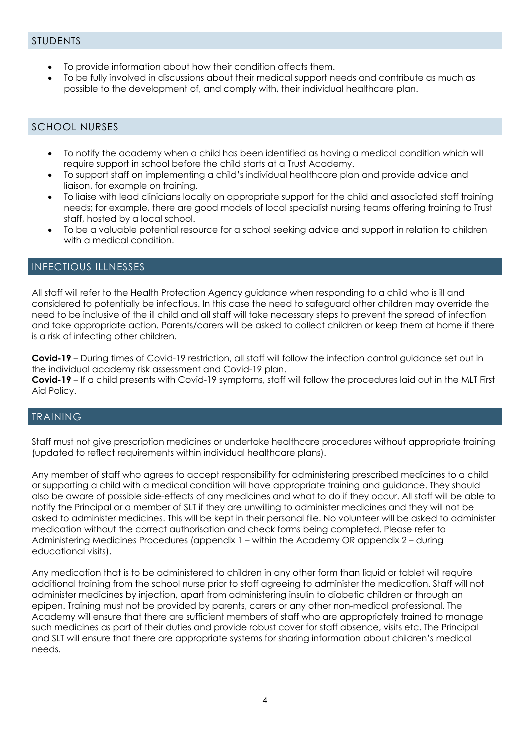- To provide information about how their condition affects them.
- To be fully involved in discussions about their medical support needs and contribute as much as possible to the development of, and comply with, their individual healthcare plan.

## SCHOOL NURSES

- To notify the academy when a child has been identified as having a medical condition which will require support in school before the child starts at a Trust Academy.
- To support staff on implementing a child's individual healthcare plan and provide advice and liaison, for example on training.
- To liaise with lead clinicians locally on appropriate support for the child and associated staff training needs; for example, there are good models of local specialist nursing teams offering training to Trust staff, hosted by a local school.
- To be a valuable potential resource for a school seeking advice and support in relation to children with a medical condition.

#### INFECTIOUS ILLNESSES

All staff will refer to the Health Protection Agency guidance when responding to a child who is ill and considered to potentially be infectious. In this case the need to safeguard other children may override the need to be inclusive of the ill child and all staff will take necessary steps to prevent the spread of infection and take appropriate action. Parents/carers will be asked to collect children or keep them at home if there is a risk of infecting other children.

**Covid-19** – During times of Covid-19 restriction, all staff will follow the infection control guidance set out in the individual academy risk assessment and Covid-19 plan.

**Covid-19** – If a child presents with Covid-19 symptoms, staff will follow the procedures laid out in the MLT First Aid Policy.

## TRAINING

Staff must not give prescription medicines or undertake healthcare procedures without appropriate training (updated to reflect requirements within individual healthcare plans).

Any member of staff who agrees to accept responsibility for administering prescribed medicines to a child or supporting a child with a medical condition will have appropriate training and guidance. They should also be aware of possible side-effects of any medicines and what to do if they occur. All staff will be able to notify the Principal or a member of SLT if they are unwilling to administer medicines and they will not be asked to administer medicines. This will be kept in their personal file. No volunteer will be asked to administer medication without the correct authorisation and check forms being completed. Please refer to Administering Medicines Procedures (appendix 1 – within the Academy OR appendix 2 – during educational visits).

Any medication that is to be administered to children in any other form than liquid or tablet will require additional training from the school nurse prior to staff agreeing to administer the medication. Staff will not administer medicines by injection, apart from administering insulin to diabetic children or through an epipen. Training must not be provided by parents, carers or any other non-medical professional. The Academy will ensure that there are sufficient members of staff who are appropriately trained to manage such medicines as part of their duties and provide robust cover for staff absence, visits etc. The Principal and SLT will ensure that there are appropriate systems for sharing information about children's medical needs.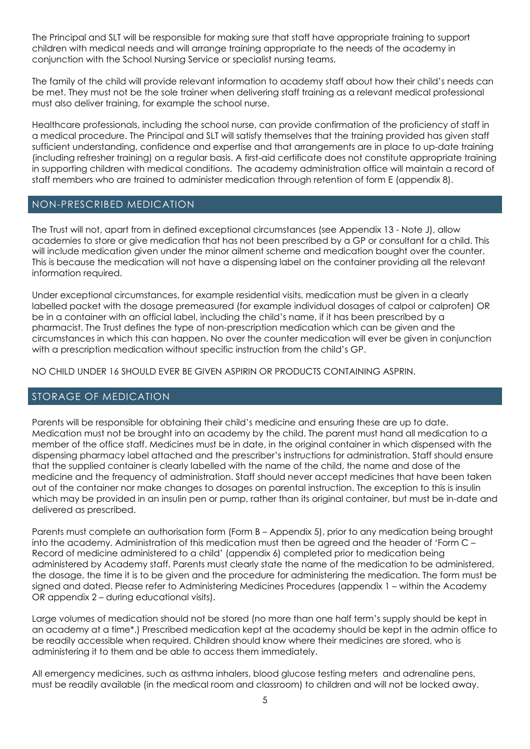The Principal and SLT will be responsible for making sure that staff have appropriate training to support children with medical needs and will arrange training appropriate to the needs of the academy in conjunction with the School Nursing Service or specialist nursing teams.

The family of the child will provide relevant information to academy staff about how their child's needs can be met. They must not be the sole trainer when delivering staff training as a relevant medical professional must also deliver training, for example the school nurse.

Healthcare professionals, including the school nurse, can provide confirmation of the proficiency of staff in a medical procedure. The Principal and SLT will satisfy themselves that the training provided has given staff sufficient understanding, confidence and expertise and that arrangements are in place to up-date training (including refresher training) on a regular basis. A first-aid certificate does not constitute appropriate training in supporting children with medical conditions. The academy administration office will maintain a record of staff members who are trained to administer medication through retention of form E (appendix 8).

#### NON-PRESCRIBED MEDICATION

The Trust will not, apart from in defined exceptional circumstances (see Appendix 13 - Note J), allow academies to store or give medication that has not been prescribed by a GP or consultant for a child. This will include medication given under the minor ailment scheme and medication bought over the counter. This is because the medication will not have a dispensing label on the container providing all the relevant information required.

Under exceptional circumstances, for example residential visits, medication must be given in a clearly labelled packet with the dosage premeasured (for example individual dosages of calpol or calprofen) OR be in a container with an official label, including the child's name, if it has been prescribed by a pharmacist. The Trust defines the type of non-prescription medication which can be given and the circumstances in which this can happen. No over the counter medication will ever be given in conjunction with a prescription medication without specific instruction from the child's GP.

NO CHILD UNDER 16 SHOULD EVER BE GIVEN ASPIRIN OR PRODUCTS CONTAINING ASPRIN.

#### STORAGE OF MEDICATION

Parents will be responsible for obtaining their child's medicine and ensuring these are up to date. Medication must not be brought into an academy by the child. The parent must hand all medication to a member of the office staff. Medicines must be in date, in the original container in which dispensed with the dispensing pharmacy label attached and the prescriber's instructions for administration. Staff should ensure that the supplied container is clearly labelled with the name of the child, the name and dose of the medicine and the frequency of administration. Staff should never accept medicines that have been taken out of the container nor make changes to dosages on parental instruction. The exception to this is insulin which may be provided in an insulin pen or pump, rather than its original container, but must be in-date and delivered as prescribed.

Parents must complete an authorisation form (Form B – Appendix 5), prior to any medication being brought into the academy. Administration of this medication must then be agreed and the header of 'Form C – Record of medicine administered to a child' (appendix 6) completed prior to medication being administered by Academy staff. Parents must clearly state the name of the medication to be administered, the dosage, the time it is to be given and the procedure for administering the medication. The form must be signed and dated. Please refer to Administering Medicines Procedures (appendix 1 – within the Academy OR appendix 2 – during educational visits).

Large volumes of medication should not be stored (no more than one half term's supply should be kept in an academy at a time\*.) Prescribed medication kept at the academy should be kept in the admin office to be readily accessible when required. Children should know where their medicines are stored, who is administering it to them and be able to access them immediately.

All emergency medicines, such as asthma inhalers, blood glucose testing meters and adrenaline pens, must be readily available (in the medical room and classroom) to children and will not be locked away.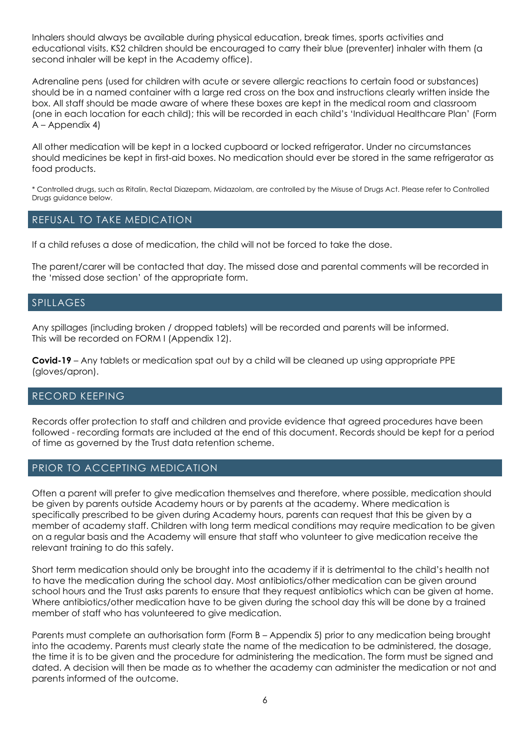Inhalers should always be available during physical education, break times, sports activities and educational visits. KS2 children should be encouraged to carry their blue (preventer) inhaler with them (a second inhaler will be kept in the Academy office).

Adrenaline pens (used for children with acute or severe allergic reactions to certain food or substances) should be in a named container with a large red cross on the box and instructions clearly written inside the box. All staff should be made aware of where these boxes are kept in the medical room and classroom (one in each location for each child); this will be recorded in each child's 'Individual Healthcare Plan' (Form A – Appendix 4)

All other medication will be kept in a locked cupboard or locked refrigerator. Under no circumstances should medicines be kept in first-aid boxes. No medication should ever be stored in the same refrigerator as food products.

\* Controlled drugs, such as Ritalin, Rectal Diazepam, Midazolam, are controlled by the Misuse of Drugs Act. Please refer to Controlled Drugs guidance below.

#### REFUSAL TO TAKE MEDICATION

If a child refuses a dose of medication, the child will not be forced to take the dose.

The parent/carer will be contacted that day. The missed dose and parental comments will be recorded in the 'missed dose section' of the appropriate form.

#### SPILLAGES

Any spillages (including broken / dropped tablets) will be recorded and parents will be informed. This will be recorded on FORM I (Appendix 12).

**Covid-19** – Any tablets or medication spat out by a child will be cleaned up using appropriate PPE (gloves/apron).

#### RECORD KEEPING

Records offer protection to staff and children and provide evidence that agreed procedures have been followed - recording formats are included at the end of this document. Records should be kept for a period of time as governed by the Trust data retention scheme.

#### PRIOR TO ACCEPTING MEDICATION

Often a parent will prefer to give medication themselves and therefore, where possible, medication should be given by parents outside Academy hours or by parents at the academy. Where medication is specifically prescribed to be given during Academy hours, parents can request that this be given by a member of academy staff. Children with long term medical conditions may require medication to be given on a regular basis and the Academy will ensure that staff who volunteer to give medication receive the relevant training to do this safely.

Short term medication should only be brought into the academy if it is detrimental to the child's health not to have the medication during the school day. Most antibiotics/other medication can be given around school hours and the Trust asks parents to ensure that they request antibiotics which can be given at home. Where antibiotics/other medication have to be given during the school day this will be done by a trained member of staff who has volunteered to give medication.

Parents must complete an authorisation form (Form B – Appendix 5) prior to any medication being brought into the academy. Parents must clearly state the name of the medication to be administered, the dosage, the time it is to be given and the procedure for administering the medication. The form must be signed and dated. A decision will then be made as to whether the academy can administer the medication or not and parents informed of the outcome.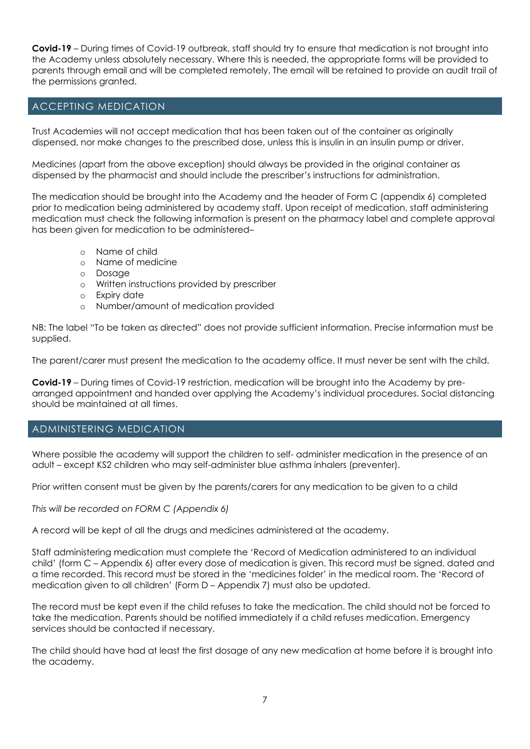**Covid-19** – During times of Covid-19 outbreak, staff should try to ensure that medication is not brought into the Academy unless absolutely necessary. Where this is needed, the appropriate forms will be provided to parents through email and will be completed remotely. The email will be retained to provide an audit trail of the permissions granted.

## ACCEPTING MEDICATION

Trust Academies will not accept medication that has been taken out of the container as originally dispensed, nor make changes to the prescribed dose, unless this is insulin in an insulin pump or driver.

Medicines (apart from the above exception) should always be provided in the original container as dispensed by the pharmacist and should include the prescriber's instructions for administration.

The medication should be brought into the Academy and the header of Form C (appendix 6) completed prior to medication being administered by academy staff. Upon receipt of medication, staff administering medication must check the following information is present on the pharmacy label and complete approval has been given for medication to be administered–

- o Name of child
- o Name of medicine<br>o Dosage
- Dosage
- o Written instructions provided by prescriber
- o Expiry date
- o Number/amount of medication provided

NB: The label "To be taken as directed" does not provide sufficient information. Precise information must be supplied.

The parent/carer must present the medication to the academy office. It must never be sent with the child.

**Covid-19** – During times of Covid-19 restriction, medication will be brought into the Academy by prearranged appointment and handed over applying the Academy's individual procedures. Social distancing should be maintained at all times.

## ADMINISTERING MEDICATION

Where possible the academy will support the children to self- administer medication in the presence of an adult – except KS2 children who may self-administer blue asthma inhalers (preventer).

Prior written consent must be given by the parents/carers for any medication to be given to a child

*This will be recorded on FORM C (Appendix 6)* 

A record will be kept of all the drugs and medicines administered at the academy.

Staff administering medication must complete the 'Record of Medication administered to an individual child' (form C – Appendix 6) after every dose of medication is given. This record must be signed, dated and a time recorded. This record must be stored in the 'medicines folder' in the medical room. The 'Record of medication given to all children' (Form D – Appendix 7) must also be updated.

The record must be kept even if the child refuses to take the medication. The child should not be forced to take the medication. Parents should be notified immediately if a child refuses medication. Emergency services should be contacted if necessary.

The child should have had at least the first dosage of any new medication at home before it is brought into the academy.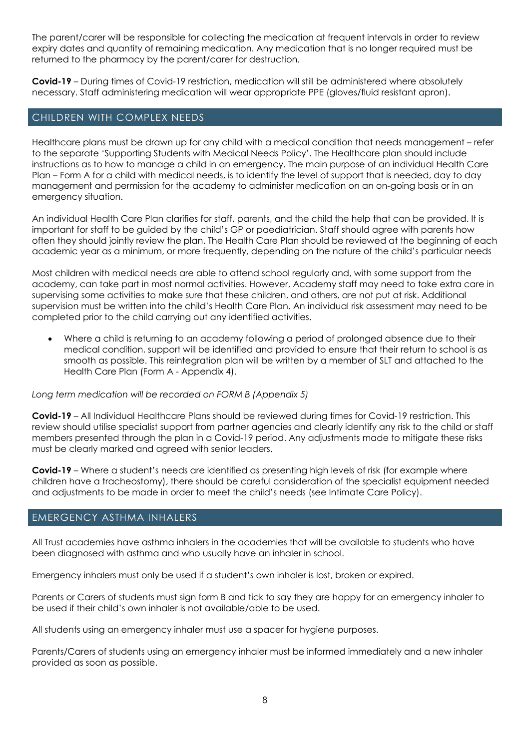The parent/carer will be responsible for collecting the medication at frequent intervals in order to review expiry dates and quantity of remaining medication. Any medication that is no longer required must be returned to the pharmacy by the parent/carer for destruction.

**Covid-19** – During times of Covid-19 restriction, medication will still be administered where absolutely necessary. Staff administering medication will wear appropriate PPE (gloves/fluid resistant apron).

#### CHILDREN WITH COMPLEX NEEDS

Healthcare plans must be drawn up for any child with a medical condition that needs management – refer to the separate 'Supporting Students with Medical Needs Policy'. The Healthcare plan should include instructions as to how to manage a child in an emergency. The main purpose of an individual Health Care Plan – Form A for a child with medical needs, is to identify the level of support that is needed, day to day management and permission for the academy to administer medication on an on-going basis or in an emergency situation.

An individual Health Care Plan clarifies for staff, parents, and the child the help that can be provided. It is important for staff to be guided by the child's GP or paediatrician. Staff should agree with parents how often they should jointly review the plan. The Health Care Plan should be reviewed at the beginning of each academic year as a minimum, or more frequently, depending on the nature of the child's particular needs

Most children with medical needs are able to attend school regularly and, with some support from the academy, can take part in most normal activities. However, Academy staff may need to take extra care in supervising some activities to make sure that these children, and others, are not put at risk. Additional supervision must be written into the child's Health Care Plan. An individual risk assessment may need to be completed prior to the child carrying out any identified activities.

• Where a child is returning to an academy following a period of prolonged absence due to their medical condition, support will be identified and provided to ensure that their return to school is as smooth as possible. This reintegration plan will be written by a member of SLT and attached to the Health Care Plan (Form A - Appendix 4).

#### *Long term medication will be recorded on FORM B (Appendix 5)*

**Covid-19** – All Individual Healthcare Plans should be reviewed during times for Covid-19 restriction. This review should utilise specialist support from partner agencies and clearly identify any risk to the child or staff members presented through the plan in a Covid-19 period. Any adjustments made to mitigate these risks must be clearly marked and agreed with senior leaders.

**Covid-19** – Where a student's needs are identified as presenting high levels of risk (for example where children have a tracheostomy), there should be careful consideration of the specialist equipment needed and adjustments to be made in order to meet the child's needs (see Intimate Care Policy).

#### EMERGENCY ASTHMA INHALERS

All Trust academies have asthma inhalers in the academies that will be available to students who have been diagnosed with asthma and who usually have an inhaler in school.

Emergency inhalers must only be used if a student's own inhaler is lost, broken or expired.

Parents or Carers of students must sign form B and tick to say they are happy for an emergency inhaler to be used if their child's own inhaler is not available/able to be used.

All students using an emergency inhaler must use a spacer for hygiene purposes.

Parents/Carers of students using an emergency inhaler must be informed immediately and a new inhaler provided as soon as possible.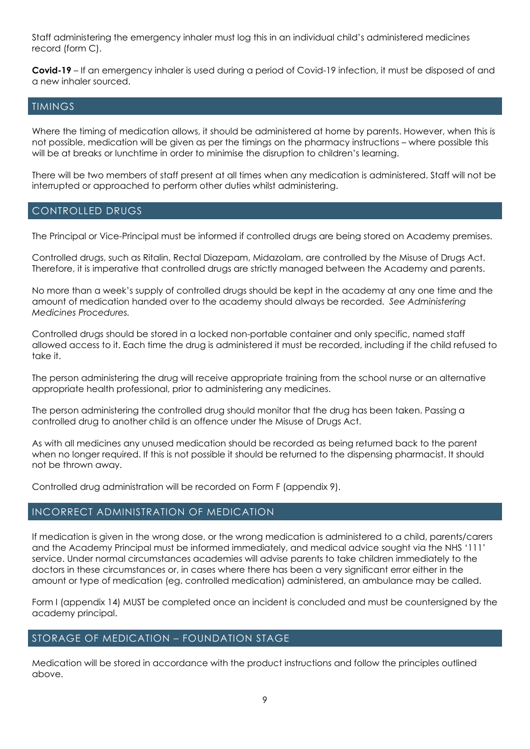Staff administering the emergency inhaler must log this in an individual child's administered medicines record (form C).

**Covid-19** – If an emergency inhaler is used during a period of Covid-19 infection, it must be disposed of and a new inhaler sourced.

#### TIMINGS

Where the timing of medication allows, it should be administered at home by parents. However, when this is not possible, medication will be given as per the timings on the pharmacy instructions – where possible this will be at breaks or lunchtime in order to minimise the disruption to children's learning.

There will be two members of staff present at all times when any medication is administered. Staff will not be interrupted or approached to perform other duties whilst administering.

#### CONTROLLED DRUGS

The Principal or Vice-Principal must be informed if controlled drugs are being stored on Academy premises.

Controlled drugs, such as Ritalin, Rectal Diazepam, Midazolam, are controlled by the Misuse of Drugs Act. Therefore, it is imperative that controlled drugs are strictly managed between the Academy and parents.

No more than a week's supply of controlled drugs should be kept in the academy at any one time and the amount of medication handed over to the academy should always be recorded. *See Administering Medicines Procedures.*

Controlled drugs should be stored in a locked non-portable container and only specific, named staff allowed access to it. Each time the drug is administered it must be recorded, including if the child refused to take it.

The person administering the drug will receive appropriate training from the school nurse or an alternative appropriate health professional, prior to administering any medicines.

The person administering the controlled drug should monitor that the drug has been taken. Passing a controlled drug to another child is an offence under the Misuse of Drugs Act.

As with all medicines any unused medication should be recorded as being returned back to the parent when no longer required. If this is not possible it should be returned to the dispensing pharmacist. It should not be thrown away.

Controlled drug administration will be recorded on Form F (appendix 9).

#### INCORRECT ADMINISTRATION OF MEDICATION

If medication is given in the wrong dose, or the wrong medication is administered to a child, parents/carers and the Academy Principal must be informed immediately, and medical advice sought via the NHS '111' service. Under normal circumstances academies will advise parents to take children immediately to the doctors in these circumstances or, in cases where there has been a very significant error either in the amount or type of medication (eg. controlled medication) administered, an ambulance may be called.

Form I (appendix 14) MUST be completed once an incident is concluded and must be countersigned by the academy principal.

#### STORAGE OF MEDICATION – FOUNDATION STAGE

Medication will be stored in accordance with the product instructions and follow the principles outlined above.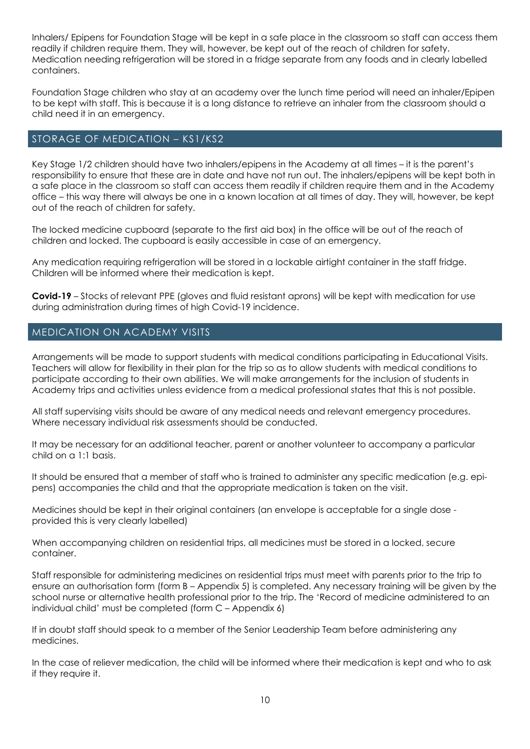Inhalers/ Epipens for Foundation Stage will be kept in a safe place in the classroom so staff can access them readily if children require them. They will, however, be kept out of the reach of children for safety. Medication needing refrigeration will be stored in a fridge separate from any foods and in clearly labelled containers.

Foundation Stage children who stay at an academy over the lunch time period will need an inhaler/Epipen to be kept with staff. This is because it is a long distance to retrieve an inhaler from the classroom should a child need it in an emergency.

## STORAGE OF MEDICATION – KS1/KS2

Key Stage 1/2 children should have two inhalers/epipens in the Academy at all times – it is the parent's responsibility to ensure that these are in date and have not run out. The inhalers/epipens will be kept both in a safe place in the classroom so staff can access them readily if children require them and in the Academy office – this way there will always be one in a known location at all times of day. They will, however, be kept out of the reach of children for safety.

The locked medicine cupboard (separate to the first aid box) in the office will be out of the reach of children and locked. The cupboard is easily accessible in case of an emergency.

Any medication requiring refrigeration will be stored in a lockable airtight container in the staff fridge. Children will be informed where their medication is kept.

**Covid-19** – Stocks of relevant PPE (gloves and fluid resistant aprons) will be kept with medication for use during administration during times of high Covid-19 incidence.

## MEDICATION ON ACADEMY VISITS

Arrangements will be made to support students with medical conditions participating in Educational Visits. Teachers will allow for flexibility in their plan for the trip so as to allow students with medical conditions to participate according to their own abilities. We will make arrangements for the inclusion of students in Academy trips and activities unless evidence from a medical professional states that this is not possible.

All staff supervising visits should be aware of any medical needs and relevant emergency procedures. Where necessary individual risk assessments should be conducted.

It may be necessary for an additional teacher, parent or another volunteer to accompany a particular child on a 1:1 basis.

It should be ensured that a member of staff who is trained to administer any specific medication (e.g. epipens) accompanies the child and that the appropriate medication is taken on the visit.

Medicines should be kept in their original containers (an envelope is acceptable for a single dose provided this is very clearly labelled)

When accompanying children on residential trips, all medicines must be stored in a locked, secure container.

Staff responsible for administering medicines on residential trips must meet with parents prior to the trip to ensure an authorisation form (form B – Appendix 5) is completed. Any necessary training will be given by the school nurse or alternative health professional prior to the trip. The 'Record of medicine administered to an individual child' must be completed (form C – Appendix 6)

If in doubt staff should speak to a member of the Senior Leadership Team before administering any medicines.

In the case of reliever medication, the child will be informed where their medication is kept and who to ask if they require it.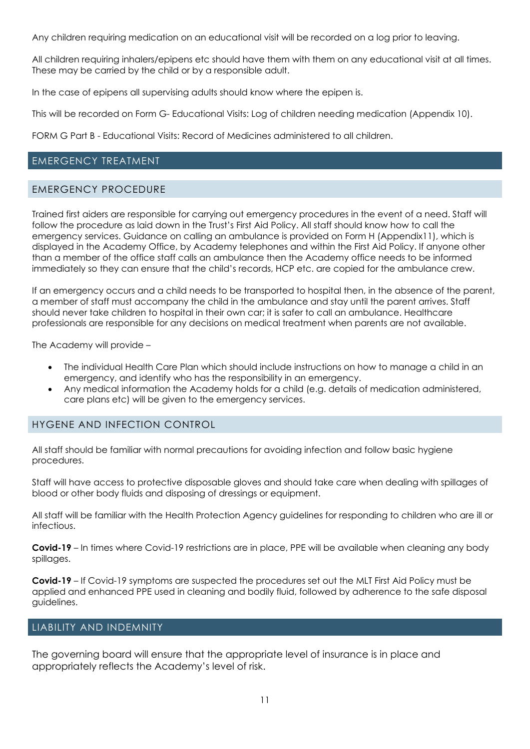Any children requiring medication on an educational visit will be recorded on a log prior to leaving.

All children requiring inhalers/epipens etc should have them with them on any educational visit at all times. These may be carried by the child or by a responsible adult.

In the case of epipens all supervising adults should know where the epipen is.

This will be recorded on Form G- Educational Visits: Log of children needing medication (Appendix 10).

FORM G Part B - Educational Visits: Record of Medicines administered to all children.

#### EMERGENCY TREATMENT

#### EMERGENCY PROCEDURE

Trained first aiders are responsible for carrying out emergency procedures in the event of a need. Staff will follow the procedure as laid down in the Trust's First Aid Policy. All staff should know how to call the emergency services. Guidance on calling an ambulance is provided on Form H (Appendix11), which is displayed in the Academy Office, by Academy telephones and within the First Aid Policy. If anyone other than a member of the office staff calls an ambulance then the Academy office needs to be informed immediately so they can ensure that the child's records, HCP etc. are copied for the ambulance crew.

If an emergency occurs and a child needs to be transported to hospital then, in the absence of the parent, a member of staff must accompany the child in the ambulance and stay until the parent arrives. Staff should never take children to hospital in their own car; it is safer to call an ambulance. Healthcare professionals are responsible for any decisions on medical treatment when parents are not available.

The Academy will provide –

- The individual Health Care Plan which should include instructions on how to manage a child in an emergency, and identify who has the responsibility in an emergency.
- Any medical information the Academy holds for a child (e.g. details of medication administered, care plans etc) will be given to the emergency services.

## HYGENE AND INFECTION CONTROL

All staff should be familiar with normal precautions for avoiding infection and follow basic hygiene procedures.

Staff will have access to protective disposable gloves and should take care when dealing with spillages of blood or other body fluids and disposing of dressings or equipment.

All staff will be familiar with the Health Protection Agency guidelines for responding to children who are ill or infectious.

**Covid-19** – In times where Covid-19 restrictions are in place, PPE will be available when cleaning any body spillages.

**Covid-19** – If Covid-19 symptoms are suspected the procedures set out the MLT First Aid Policy must be applied and enhanced PPE used in cleaning and bodily fluid, followed by adherence to the safe disposal guidelines.

#### LIABILITY AND INDEMNITY

The governing board will ensure that the appropriate level of insurance is in place and appropriately reflects the Academy's level of risk.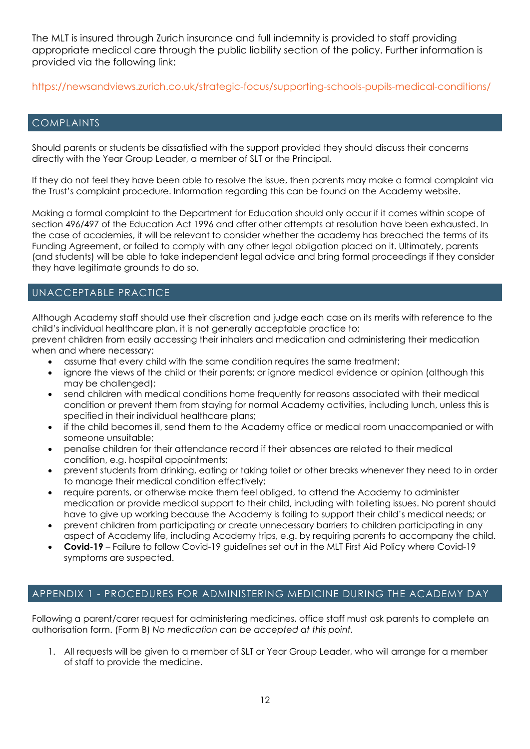The MLT is insured through Zurich insurance and full indemnity is provided to staff providing appropriate medical care through the public liability section of the policy. Further information is provided via the following link:

https://newsandviews.zurich.co.uk/strategic-focus/supporting-schools-pupils-medical-conditions/

#### COMPLAINTS

Should parents or students be dissatisfied with the support provided they should discuss their concerns directly with the Year Group Leader, a member of SLT or the Principal.

If they do not feel they have been able to resolve the issue, then parents may make a formal complaint via the Trust's complaint procedure. Information regarding this can be found on the Academy website.

Making a formal complaint to the Department for Education should only occur if it comes within scope of section 496/497 of the Education Act 1996 and after other attempts at resolution have been exhausted. In the case of academies, it will be relevant to consider whether the academy has breached the terms of its Funding Agreement, or failed to comply with any other legal obligation placed on it. Ultimately, parents (and students) will be able to take independent legal advice and bring formal proceedings if they consider they have legitimate grounds to do so.

# UNACCEPTABLE PRACTICE

Although Academy staff should use their discretion and judge each case on its merits with reference to the child's individual healthcare plan, it is not generally acceptable practice to:

prevent children from easily accessing their inhalers and medication and administering their medication when and where necessary;

- assume that every child with the same condition requires the same treatment;
- ignore the views of the child or their parents; or ignore medical evidence or opinion (although this may be challenged);
- send children with medical conditions home frequently for reasons associated with their medical condition or prevent them from staying for normal Academy activities, including lunch, unless this is specified in their individual healthcare plans;
- if the child becomes ill, send them to the Academy office or medical room unaccompanied or with someone unsuitable;
- penalise children for their attendance record if their absences are related to their medical condition, e.g. hospital appointments;
- prevent students from drinking, eating or taking toilet or other breaks whenever they need to in order to manage their medical condition effectively;
- require parents, or otherwise make them feel obliged, to attend the Academy to administer medication or provide medical support to their child, including with toileting issues. No parent should have to give up working because the Academy is failing to support their child's medical needs; or
- prevent children from participating or create unnecessary barriers to children participating in any aspect of Academy life, including Academy trips, e.g. by requiring parents to accompany the child.
- **Covid-19** Failure to follow Covid-19 guidelines set out in the MLT First Aid Policy where Covid-19 symptoms are suspected.

## APPENDIX 1 - PROCEDURES FOR ADMINISTERING MEDICINE DURING THE ACADEMY DAY

Following a parent/carer request for administering medicines, office staff must ask parents to complete an authorisation form. (Form B) *No medication can be accepted at this point.*

1. All requests will be given to a member of SLT or Year Group Leader, who will arrange for a member of staff to provide the medicine.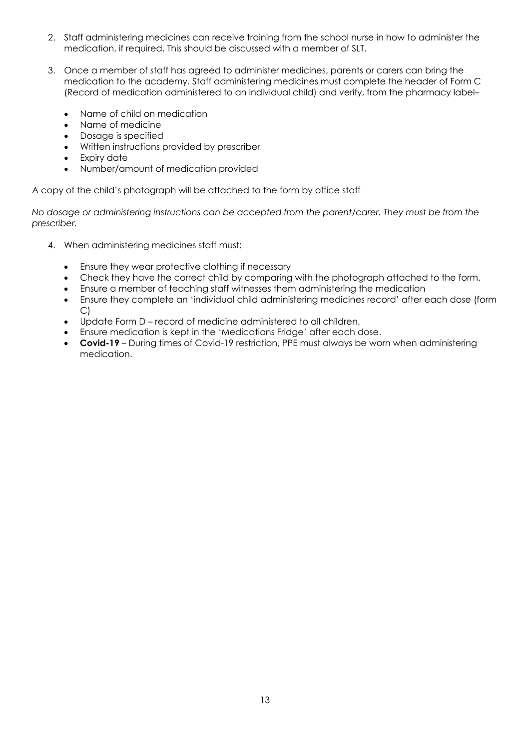- 2. Staff administering medicines can receive training from the school nurse in how to administer the medication, if required. This should be discussed with a member of SLT.
- 3. Once a member of staff has agreed to administer medicines, parents or carers can bring the medication to the academy. Staff administering medicines must complete the header of Form C (Record of medication administered to an individual child) and verify, from the pharmacy label–
	- Name of child on medication
	- Name of medicine
	- Dosage is specified
	- Written instructions provided by prescriber
	- Expiry date
	- Number/amount of medication provided

A copy of the child's photograph will be attached to the form by office staff

*No dosage or administering instructions can be accepted from the parent/carer. They must be from the prescriber.*

- 4. When administering medicines staff must:
	- Ensure they wear protective clothing if necessary
	- Check they have the correct child by comparing with the photograph attached to the form.
	- Ensure a member of teaching staff witnesses them administering the medication
	- Ensure they complete an 'individual child administering medicines record' after each dose (form C)
	- Update Form D record of medicine administered to all children.
	- Ensure medication is kept in the 'Medications Fridge' after each dose.
	- **Covid-19** During times of Covid-19 restriction, PPE must always be worn when administering medication.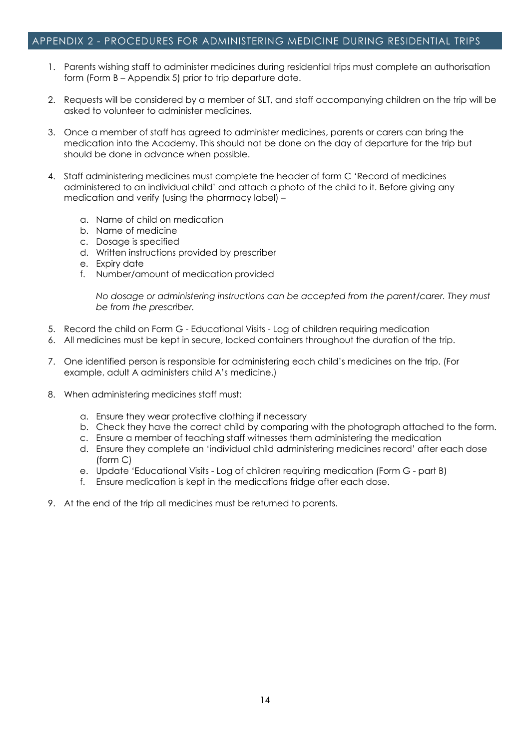#### APPENDIX 2 - PROCEDURES FOR ADMINISTERING MEDICINE DURING RESIDENTIAL TRIPS

- 1. Parents wishing staff to administer medicines during residential trips must complete an authorisation form (Form B – Appendix 5) prior to trip departure date.
- 2. Requests will be considered by a member of SLT, and staff accompanying children on the trip will be asked to volunteer to administer medicines.
- 3. Once a member of staff has agreed to administer medicines, parents or carers can bring the medication into the Academy. This should not be done on the day of departure for the trip but should be done in advance when possible.
- 4. Staff administering medicines must complete the header of form C 'Record of medicines administered to an individual child' and attach a photo of the child to it. Before giving any medication and verify (using the pharmacy label) –
	- a. Name of child on medication
	- b. Name of medicine
	- c. Dosage is specified
	- d. Written instructions provided by prescriber
	- e. Expiry date
	- f. Number/amount of medication provided

*No dosage or administering instructions can be accepted from the parent/carer. They must be from the prescriber.*

- 5. Record the child on Form G Educational Visits Log of children requiring medication
- 6. All medicines must be kept in secure, locked containers throughout the duration of the trip.
- 7. One identified person is responsible for administering each child's medicines on the trip. (For example, adult A administers child A's medicine.)
- 8. When administering medicines staff must:
	- a. Ensure they wear protective clothing if necessary
	- b. Check they have the correct child by comparing with the photograph attached to the form.
	- c. Ensure a member of teaching staff witnesses them administering the medication
	- d. Ensure they complete an 'individual child administering medicines record' after each dose (form C)
	- e. Update 'Educational Visits Log of children requiring medication (Form G part B)
	- f. Ensure medication is kept in the medications fridge after each dose.
- 9. At the end of the trip all medicines must be returned to parents.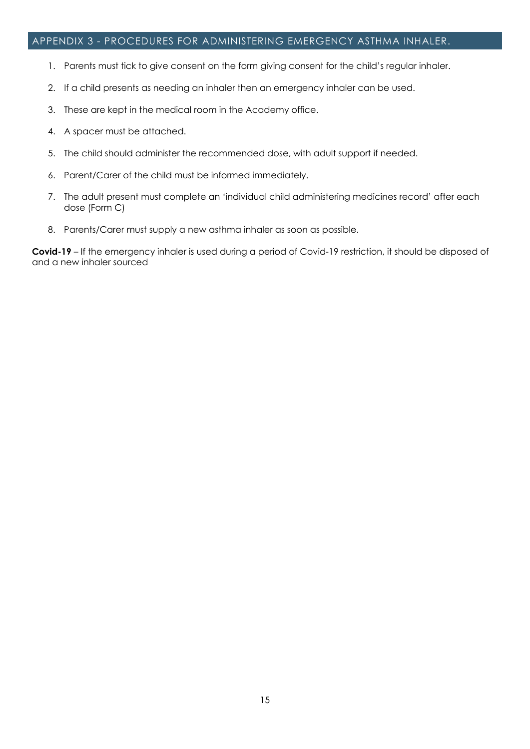#### APPENDIX 3 - PROCEDURES FOR ADMINISTERING EMERGENCY ASTHMA INHALER.

- 1. Parents must tick to give consent on the form giving consent for the child's regular inhaler.
- 2. If a child presents as needing an inhaler then an emergency inhaler can be used.
- 3. These are kept in the medical room in the Academy office.
- 4. A spacer must be attached.
- 5. The child should administer the recommended dose, with adult support if needed.
- 6. Parent/Carer of the child must be informed immediately.
- 7. The adult present must complete an 'individual child administering medicines record' after each dose (Form C)
- 8. Parents/Carer must supply a new asthma inhaler as soon as possible.

**Covid-19** – If the emergency inhaler is used during a period of Covid-19 restriction, it should be disposed of and a new inhaler sourced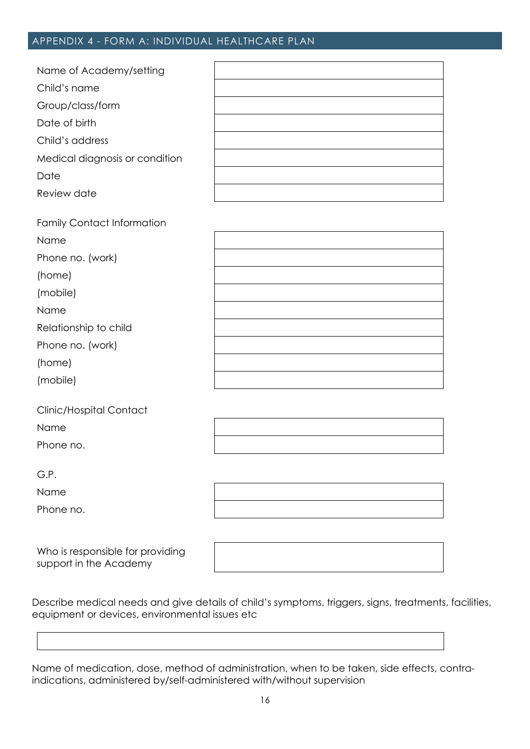# APPENDIX 4 - FORM A: INDIVIDUAL HEALTHCARE PLAN

| Name of Academy/setting        |  |
|--------------------------------|--|
| Child's name                   |  |
| Group/class/form               |  |
| Date of birth                  |  |
| Child's address                |  |
| Medical diagnosis or condition |  |
| Date                           |  |
| Review date                    |  |

| <b>Family Contact Information</b> |  |
|-----------------------------------|--|
| Name                              |  |
| Phone no. (work)                  |  |
| (home)                            |  |
| (mobile)                          |  |
| Name                              |  |
| Relationship to child             |  |
| Phone no. (work)                  |  |
| (home)                            |  |
| (mobile)                          |  |
|                                   |  |

| Clinic/Hospital Contact |
|-------------------------|
| Name                    |
| Phone no.               |

|                                                               |  | the control of the control of the control of |
|---------------------------------------------------------------|--|----------------------------------------------|
|                                                               |  |                                              |
|                                                               |  |                                              |
|                                                               |  |                                              |
|                                                               |  |                                              |
|                                                               |  |                                              |
| <u> 2000 - Andrea Andrew Amerikaanse kommunister († 2001)</u> |  |                                              |
|                                                               |  |                                              |
|                                                               |  |                                              |
|                                                               |  |                                              |
|                                                               |  |                                              |
|                                                               |  |                                              |
|                                                               |  |                                              |
|                                                               |  |                                              |

G.P.

Name

Phone no.

Who is responsible for providing support in the Academy

Describe medical needs and give details of child's symptoms, triggers, signs, treatments, facilities, equipment or devices, environmental issues etc

Name of medication, dose, method of administration, when to be taken, side effects, contraindications, administered by/self-administered with/without supervision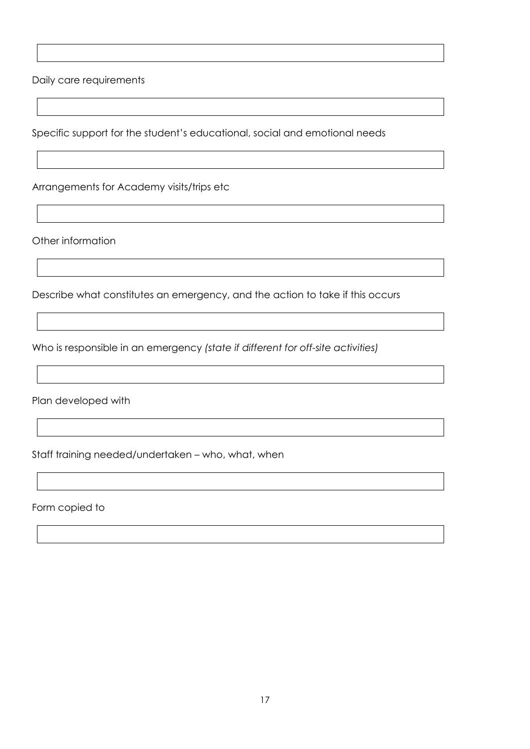Daily care requirements

Specific support for the student's educational, social and emotional needs

Arrangements for Academy visits/trips etc

Other information

Describe what constitutes an emergency, and the action to take if this occurs

Who is responsible in an emergency *(state if different for off-site activities)*

Plan developed with

Staff training needed/undertaken – who, what, when

Form copied to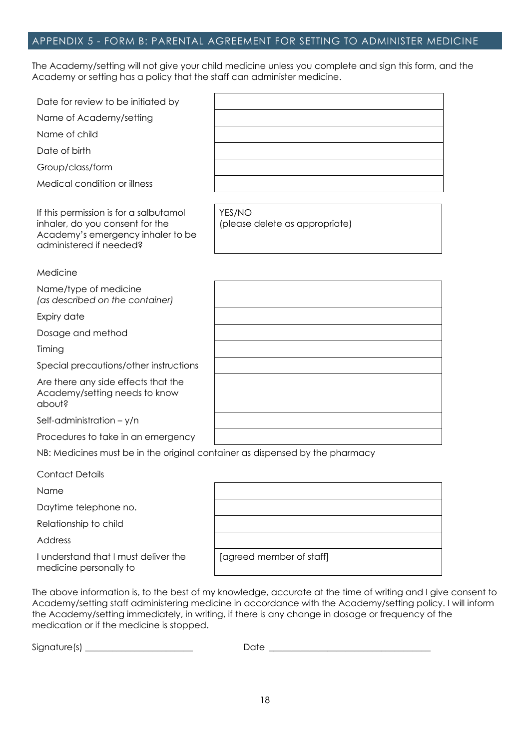# APPENDIX 5 - FORM B: PARENTAL AGREEMENT FOR SETTING TO ADMINISTER MEDICINE

The Academy/setting will not give your child medicine unless you complete and sign this form, and the Academy or setting has a policy that the staff can administer medicine.

| Date for review to be initiated by                                                                                                        |                                          |
|-------------------------------------------------------------------------------------------------------------------------------------------|------------------------------------------|
| Name of Academy/setting                                                                                                                   |                                          |
| Name of child                                                                                                                             |                                          |
| Date of birth                                                                                                                             |                                          |
| Group/class/form                                                                                                                          |                                          |
| Medical condition or illness                                                                                                              |                                          |
|                                                                                                                                           |                                          |
| If this permission is for a salbutamol<br>inhaler, do you consent for the<br>Academy's emergency inhaler to be<br>administered if needed? | YES/NO<br>(please delete as appropriate) |
| Medicine                                                                                                                                  |                                          |
| Name/type of medicine<br>(as described on the container)                                                                                  |                                          |
| Expiry date                                                                                                                               |                                          |
| Dosage and method                                                                                                                         |                                          |
| Timing                                                                                                                                    |                                          |
| Special precautions/other instructions                                                                                                    |                                          |
| Are there any side effects that the<br>Academy/setting needs to know<br>apout?                                                            |                                          |
| Self-administration $-$ y/n                                                                                                               |                                          |
| Procedures to take in an emergency                                                                                                        |                                          |
| NB: Medicines must be in the original container as dispensed by the pharmacy                                                              |                                          |
| <b>Contact Details</b>                                                                                                                    |                                          |
| Name                                                                                                                                      |                                          |
| Daytime telephone no.                                                                                                                     |                                          |
| Relationship to child                                                                                                                     |                                          |
| Address                                                                                                                                   |                                          |
| I understand that I must deliver the                                                                                                      | [agreed member of staff]                 |

The above information is, to the best of my knowledge, accurate at the time of writing and I give consent to Academy/setting staff administering medicine in accordance with the Academy/setting policy. I will inform the Academy/setting immediately, in writing, if there is any change in dosage or frequency of the medication or if the medicine is stopped.

medicine personally to

Signature(s) \_\_\_\_\_\_\_\_\_\_\_\_\_\_\_\_\_\_\_\_\_\_\_\_ Date \_\_\_\_\_\_\_\_\_\_\_\_\_\_\_\_\_\_\_\_\_\_\_\_\_\_\_\_\_\_\_\_\_\_\_\_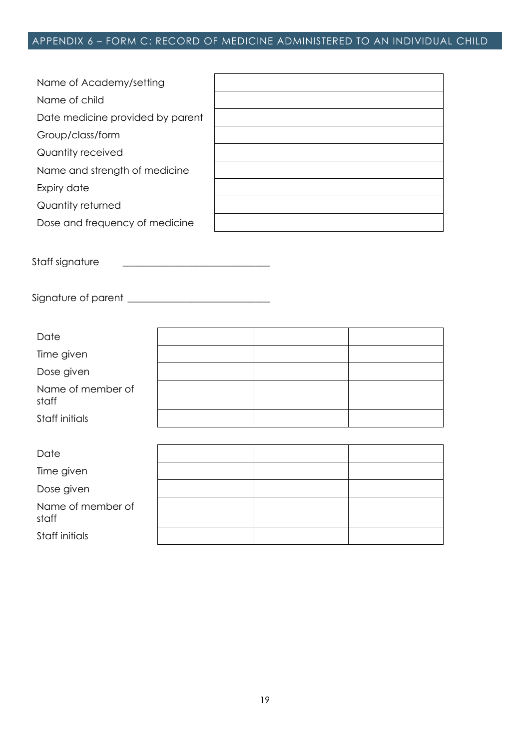# APPENDIX 6 – FORM C: RECORD OF MEDICINE ADMINISTERED TO AN INDIVIDUAL CHILD

| Name of Academy/setting          |  |
|----------------------------------|--|
| Name of child                    |  |
| Date medicine provided by parent |  |
| Group/class/form                 |  |
| Quantity received                |  |
| Name and strength of medicine    |  |
| Expiry date                      |  |
| Quantity returned                |  |
| Dose and frequency of medicine   |  |

Staff signature \_\_\_\_\_\_\_\_\_\_\_\_\_\_\_\_\_\_\_\_\_\_\_\_\_\_\_\_\_\_

Signature of parent \_\_\_\_\_\_\_\_\_\_\_\_\_\_\_\_\_\_\_\_\_\_\_\_\_\_\_\_\_

| Date                       |  |  |
|----------------------------|--|--|
| Time given                 |  |  |
| Dose given                 |  |  |
| Name of member of<br>staff |  |  |
| Staff initials             |  |  |
|                            |  |  |
| Date                       |  |  |
| Time given                 |  |  |
| Doso given                 |  |  |

Dose given Name of member of staff Staff initials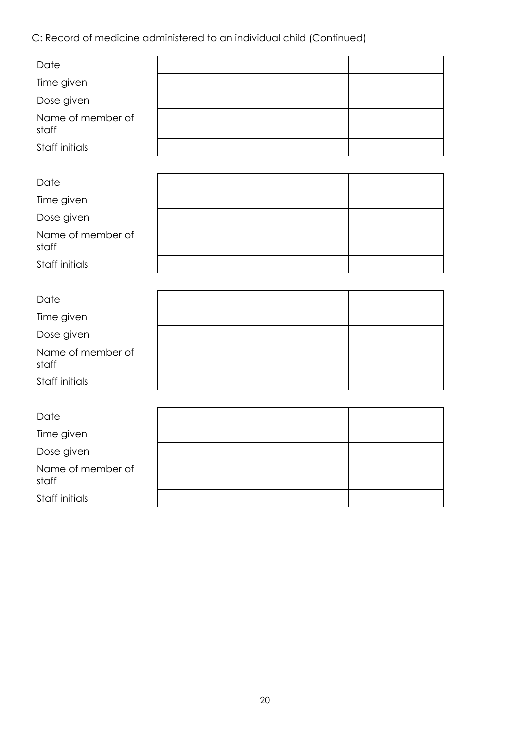C: Record of medicine administered to an individual child (Continued)

| Date                       |  |  |
|----------------------------|--|--|
|                            |  |  |
| Time given                 |  |  |
| Dose given                 |  |  |
| Name of member of<br>staff |  |  |
| Staff initials             |  |  |
|                            |  |  |
| Date                       |  |  |
| Time given                 |  |  |
| Dose given                 |  |  |
| Name of member of<br>staff |  |  |
| Staff initials             |  |  |
|                            |  |  |
| Date                       |  |  |
| Time given                 |  |  |
| Dose given                 |  |  |
| Name of member of<br>staff |  |  |
| Staff initials             |  |  |
|                            |  |  |
| Date                       |  |  |
| Time given                 |  |  |
| Dose given                 |  |  |
| Name of member of<br>staff |  |  |
| Staff initials             |  |  |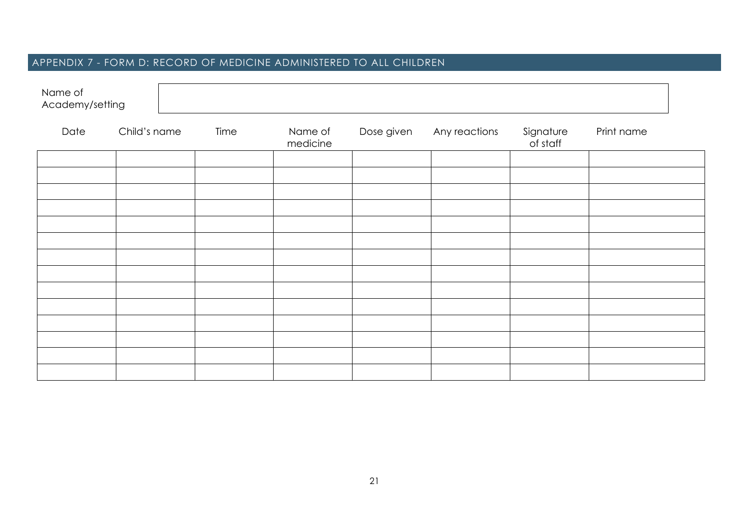# APPENDIX 7 - FORM D: RECORD OF MEDICINE ADMINISTERED TO ALL CHILDREN

| Name of<br>Academy/setting |              |      |                     |            |               |                       |            |
|----------------------------|--------------|------|---------------------|------------|---------------|-----------------------|------------|
| Date                       | Child's name | Time | Name of<br>medicine | Dose given | Any reactions | Signature<br>of staff | Print name |
|                            |              |      |                     |            |               |                       |            |
|                            |              |      |                     |            |               |                       |            |
|                            |              |      |                     |            |               |                       |            |
|                            |              |      |                     |            |               |                       |            |
|                            |              |      |                     |            |               |                       |            |
|                            |              |      |                     |            |               |                       |            |
|                            |              |      |                     |            |               |                       |            |
|                            |              |      |                     |            |               |                       |            |
|                            |              |      |                     |            |               |                       |            |
|                            |              |      |                     |            |               |                       |            |
|                            |              |      |                     |            |               |                       |            |
|                            |              |      |                     |            |               |                       |            |
|                            |              |      |                     |            |               |                       |            |
|                            |              |      |                     |            |               |                       |            |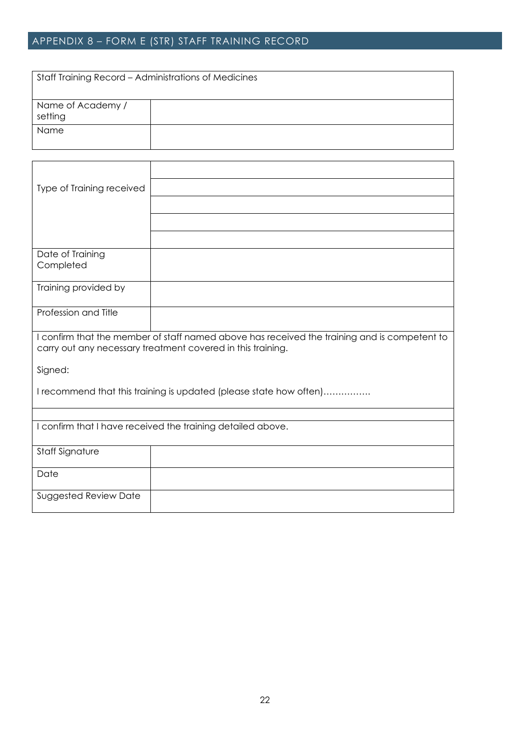# APPENDIX 8 – FORM E (STR) STAFF TRAINING RECORD

| Staff Training Record - Administrations of Medicines |  |  |
|------------------------------------------------------|--|--|
| Name of Academy /<br>setting                         |  |  |
| Name                                                 |  |  |

| Type of Training received |                                                                                                                                                             |
|---------------------------|-------------------------------------------------------------------------------------------------------------------------------------------------------------|
|                           |                                                                                                                                                             |
|                           |                                                                                                                                                             |
|                           |                                                                                                                                                             |
| Date of Training          |                                                                                                                                                             |
| Completed                 |                                                                                                                                                             |
| Training provided by      |                                                                                                                                                             |
| Profession and Title      |                                                                                                                                                             |
|                           |                                                                                                                                                             |
|                           | I confirm that the member of staff named above has received the training and is competent to<br>carry out any necessary treatment covered in this training. |
| Signed:                   |                                                                                                                                                             |
|                           | I recommend that this training is updated (please state how often)                                                                                          |
|                           |                                                                                                                                                             |
|                           | I confirm that I have received the training detailed above.                                                                                                 |
| <b>Staff Signature</b>    |                                                                                                                                                             |
| Date                      |                                                                                                                                                             |
| Suggested Review Date     |                                                                                                                                                             |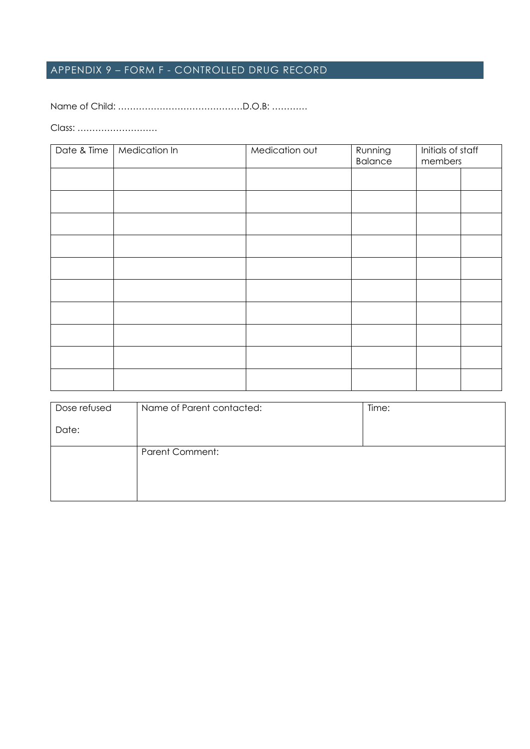# APPENDIX 9 – FORM F - CONTROLLED DRUG RECORD

Name of Child: ……………………………………D.O.B: …………

Class: ………………………

| Date & Time | Medication In | Medication out | Running<br><b>Balance</b> | Initials of staff<br>members |  |
|-------------|---------------|----------------|---------------------------|------------------------------|--|
|             |               |                |                           |                              |  |
|             |               |                |                           |                              |  |
|             |               |                |                           |                              |  |
|             |               |                |                           |                              |  |
|             |               |                |                           |                              |  |
|             |               |                |                           |                              |  |
|             |               |                |                           |                              |  |
|             |               |                |                           |                              |  |
|             |               |                |                           |                              |  |
|             |               |                |                           |                              |  |

| Dose refused | Name of Parent contacted: | Time: |
|--------------|---------------------------|-------|
| Date:        |                           |       |
|              | <b>Parent Comment:</b>    |       |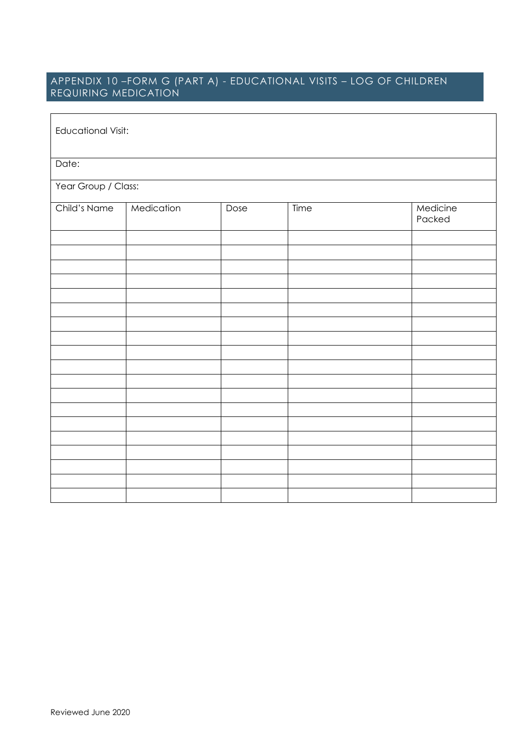# APPENDIX 10 –FORM G (PART A) - EDUCATIONAL VISITS – LOG OF CHILDREN REQUIRING MEDICATION

| <b>Educational Visit:</b> |            |      |      |                    |
|---------------------------|------------|------|------|--------------------|
| Date:                     |            |      |      |                    |
| Year Group / Class:       |            |      |      |                    |
| Child's Name              | Medication | Dose | Time | Medicine<br>Packed |
|                           |            |      |      |                    |
|                           |            |      |      |                    |
|                           |            |      |      |                    |
|                           |            |      |      |                    |
|                           |            |      |      |                    |
|                           |            |      |      |                    |
|                           |            |      |      |                    |
|                           |            |      |      |                    |
|                           |            |      |      |                    |
|                           |            |      |      |                    |
|                           |            |      |      |                    |
|                           |            |      |      |                    |
|                           |            |      |      |                    |
|                           |            |      |      |                    |
|                           |            |      |      |                    |
|                           |            |      |      |                    |
|                           |            |      |      |                    |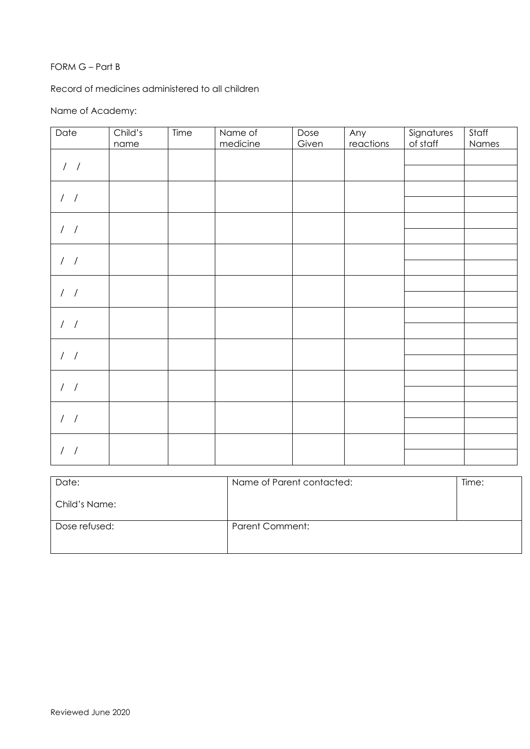#### FORM G – Part B

Record of medicines administered to all children

# Name of Academy:

| Date              | Child's | Time | Name of  | Dose  | Any       | Signatures | Staff |
|-------------------|---------|------|----------|-------|-----------|------------|-------|
|                   | name    |      | medicine | Given | reactions | of staff   | Names |
| $\prime$ $\prime$ |         |      |          |       |           |            |       |
|                   |         |      |          |       |           |            |       |
|                   |         |      |          |       |           |            |       |
| $\frac{1}{2}$     |         |      |          |       |           |            |       |
|                   |         |      |          |       |           |            |       |
| $\prime$ $\prime$ |         |      |          |       |           |            |       |
|                   |         |      |          |       |           |            |       |
|                   |         |      |          |       |           |            |       |
| $/$ /             |         |      |          |       |           |            |       |
|                   |         |      |          |       |           |            |       |
| $\prime$ $\prime$ |         |      |          |       |           |            |       |
|                   |         |      |          |       |           |            |       |
|                   |         |      |          |       |           |            |       |
| $/$ /             |         |      |          |       |           |            |       |
|                   |         |      |          |       |           |            |       |
| $\prime$ $\prime$ |         |      |          |       |           |            |       |
|                   |         |      |          |       |           |            |       |
|                   |         |      |          |       |           |            |       |
| $\frac{1}{2}$     |         |      |          |       |           |            |       |
|                   |         |      |          |       |           |            |       |
| $\prime$ $\prime$ |         |      |          |       |           |            |       |
|                   |         |      |          |       |           |            |       |
|                   |         |      |          |       |           |            |       |
| $/$ /             |         |      |          |       |           |            |       |
|                   |         |      |          |       |           |            |       |

| Date:         | Name of Parent contacted: | Time: |
|---------------|---------------------------|-------|
| Child's Name: |                           |       |
| Dose refused: | Parent Comment:           |       |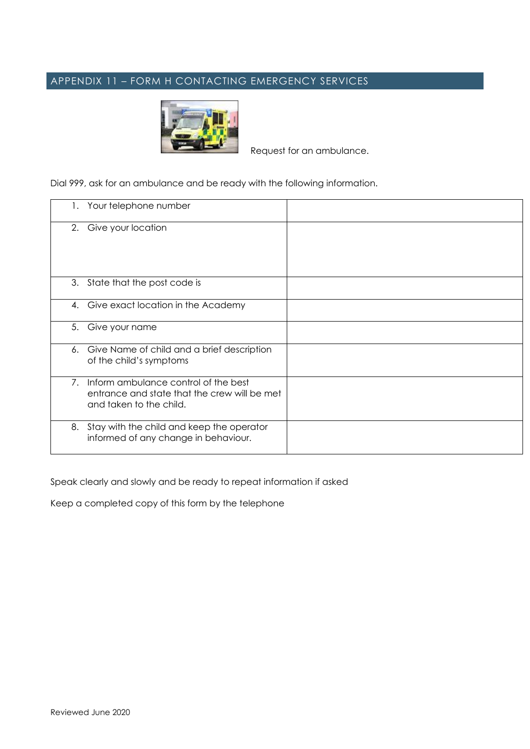# APPENDIX 11 – FORM H CONTACTING EMERGENCY SERVICES



Request for an ambulance.

Dial 999, ask for an ambulance and be ready with the following information.

| 1. | Your telephone number                                                                                           |  |
|----|-----------------------------------------------------------------------------------------------------------------|--|
|    | 2. Give your location                                                                                           |  |
|    | 3. State that the post code is                                                                                  |  |
|    | 4. Give exact location in the Academy                                                                           |  |
| 5. | Give your name                                                                                                  |  |
|    | 6. Give Name of child and a brief description<br>of the child's symptoms                                        |  |
| 7. | Inform ambulance control of the best<br>entrance and state that the crew will be met<br>and taken to the child. |  |
| 8. | Stay with the child and keep the operator<br>informed of any change in behaviour.                               |  |

Speak clearly and slowly and be ready to repeat information if asked

Keep a completed copy of this form by the telephone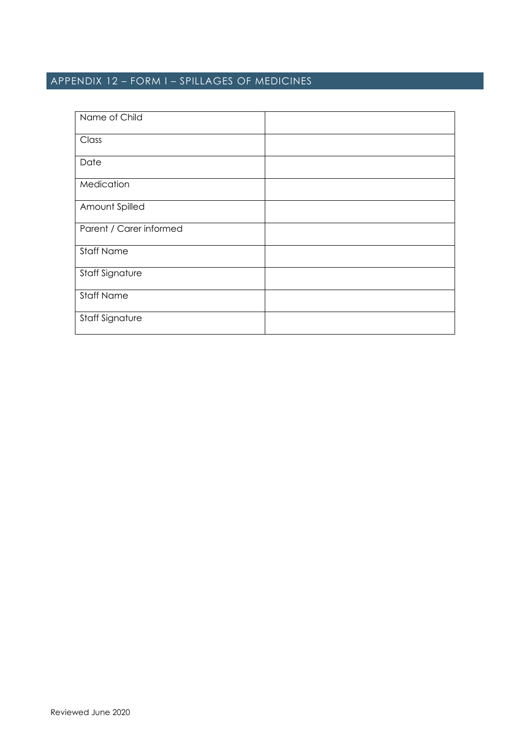# APPENDIX 12 – FORM I – SPILLAGES OF MEDICINES

| Name of Child           |  |
|-------------------------|--|
| Class                   |  |
| Date                    |  |
| Medication              |  |
| Amount Spilled          |  |
| Parent / Carer informed |  |
| <b>Staff Name</b>       |  |
| Staff Signature         |  |
| <b>Staff Name</b>       |  |
| Staff Signature         |  |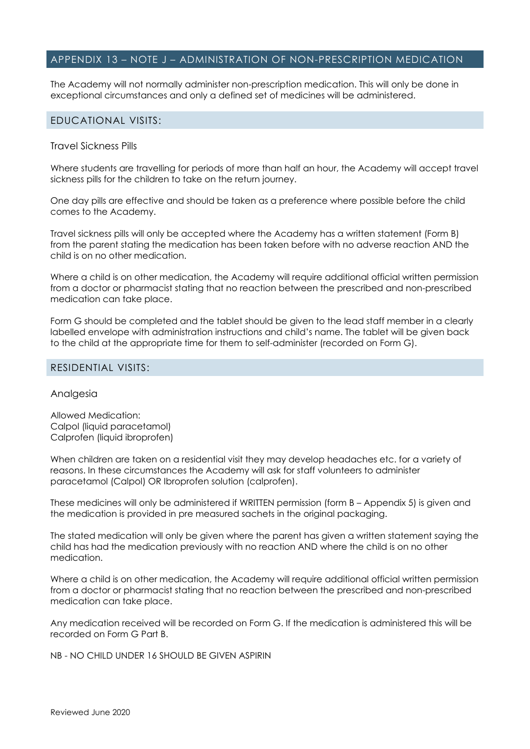#### APPENDIX 13 – NOTE J – ADMINISTRATION OF NON-PRESCRIPTION MEDICATION

The Academy will not normally administer non-prescription medication. This will only be done in exceptional circumstances and only a defined set of medicines will be administered.

#### EDUCATIONAL VISITS:

#### Travel Sickness Pills

Where students are travelling for periods of more than half an hour, the Academy will accept travel sickness pills for the children to take on the return journey.

One day pills are effective and should be taken as a preference where possible before the child comes to the Academy.

Travel sickness pills will only be accepted where the Academy has a written statement (Form B) from the parent stating the medication has been taken before with no adverse reaction AND the child is on no other medication.

Where a child is on other medication, the Academy will require additional official written permission from a doctor or pharmacist stating that no reaction between the prescribed and non-prescribed medication can take place.

Form G should be completed and the tablet should be given to the lead staff member in a clearly labelled envelope with administration instructions and child's name. The tablet will be given back to the child at the appropriate time for them to self-administer (recorded on Form G).

#### RESIDENTIAL VISITS:

#### Analgesia

Allowed Medication: Calpol (liquid paracetamol) Calprofen (liquid ibroprofen)

When children are taken on a residential visit they may develop headaches etc. for a variety of reasons. In these circumstances the Academy will ask for staff volunteers to administer paracetamol (Calpol) OR Ibroprofen solution (calprofen).

These medicines will only be administered if WRITTEN permission (form B – Appendix 5) is given and the medication is provided in pre measured sachets in the original packaging.

The stated medication will only be given where the parent has given a written statement saying the child has had the medication previously with no reaction AND where the child is on no other medication.

Where a child is on other medication, the Academy will require additional official written permission from a doctor or pharmacist stating that no reaction between the prescribed and non-prescribed medication can take place.

Any medication received will be recorded on Form G. If the medication is administered this will be recorded on Form G Part B.

NB - NO CHILD UNDER 16 SHOULD BE GIVEN ASPIRIN